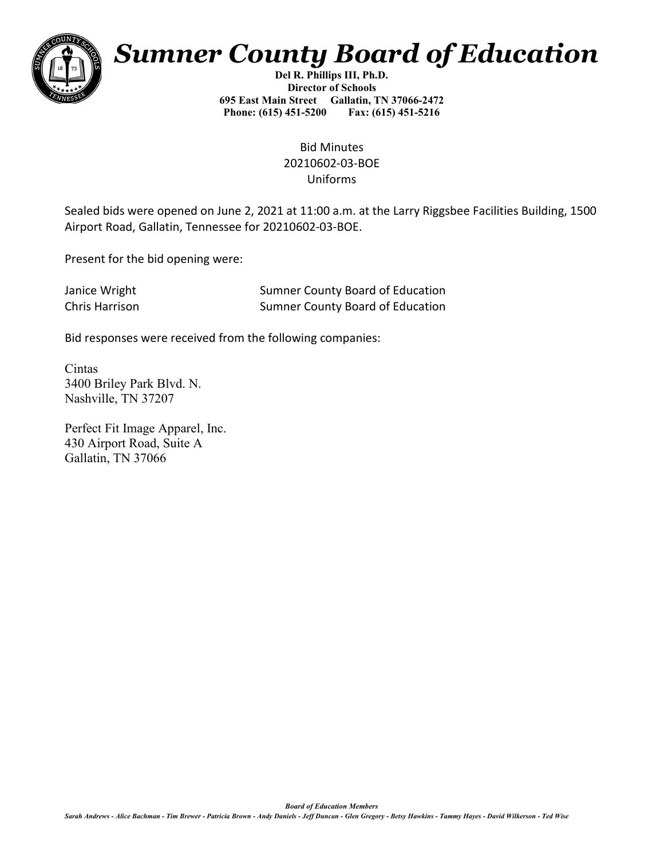

## *Sumner County Board of Education*

**Del R. Phillips III, Ph.D. Director of Schools 695 East Main Street Gallatin, TN 37066-2472 Phone: (615) 451-5200 Fax: (615) 451-5216** 

> Bid Minutes 20210602-03-BOE Uniforms

Sealed bids were opened on June 2, 2021 at 11:00 a.m. at the Larry Riggsbee Facilities Building, 1500 Airport Road, Gallatin, Tennessee for 20210602-03-BOE.

Present for the bid opening were:

| Janice Wright  | <b>Sumner County Board of Education</b> |
|----------------|-----------------------------------------|
| Chris Harrison | Sumner County Board of Education        |

Bid responses were received from the following companies:

Cintas 3400 Briley Park Blvd. N. Nashville, TN 37207

Perfect Fit Image Apparel, Inc. 430 Airport Road, Suite A Gallatin, TN 37066